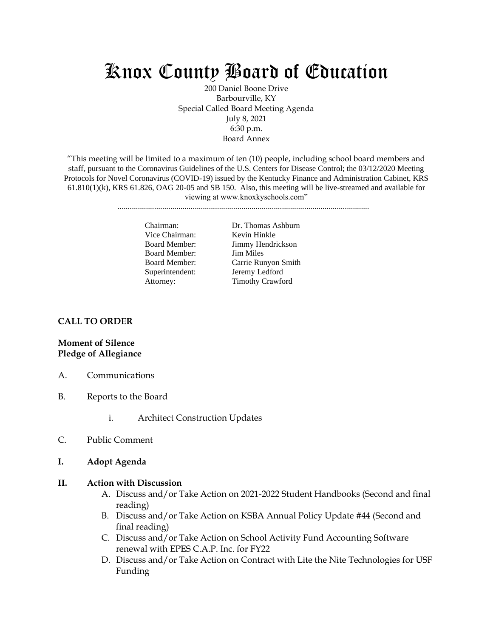# Knox County Board of Education

200 Daniel Boone Drive Barbourville, KY Special Called Board Meeting Agenda July 8, 2021 6:30 p.m. Board Annex

"This meeting will be limited to a maximum of ten (10) people, including school board members and staff, pursuant to the Coronavirus Guidelines of the U.S. Centers for Disease Control; the 03/12/2020 Meeting Protocols for Novel Coronavirus (COVID-19) issued by the Kentucky Finance and Administration Cabinet, KRS  $61.810(1)(k)$ , KRS  $61.826$ , OAG  $20-05$  and SB 150. Also, this meeting will be live-streamed and available for viewing at www.knoxkyschools.com"

............................................................................................................................

Chairman: Dr. Thomas Ashburn Vice Chairman: Kevin Hinkle Board Member: Jimmy Hendrickson Board Member: Jim Miles Board Member: Carrie Runyon Smith Superintendent: Jeremy Ledford Attorney: Timothy Crawford

#### **CALL TO ORDER**

## **Moment of Silence Pledge of Allegiance**

- A. Communications
- B. Reports to the Board
	- i. Architect Construction Updates
- C. Public Comment
- **I. Adopt Agenda**

#### **II. Action with Discussion**

- A. Discuss and/or Take Action on 2021-2022 Student Handbooks (Second and final reading)
- B. Discuss and/or Take Action on KSBA Annual Policy Update #44 (Second and final reading)
- C. Discuss and/or Take Action on School Activity Fund Accounting Software renewal with EPES C.A.P. Inc. for FY22
- D. Discuss and/or Take Action on Contract with Lite the Nite Technologies for USF Funding